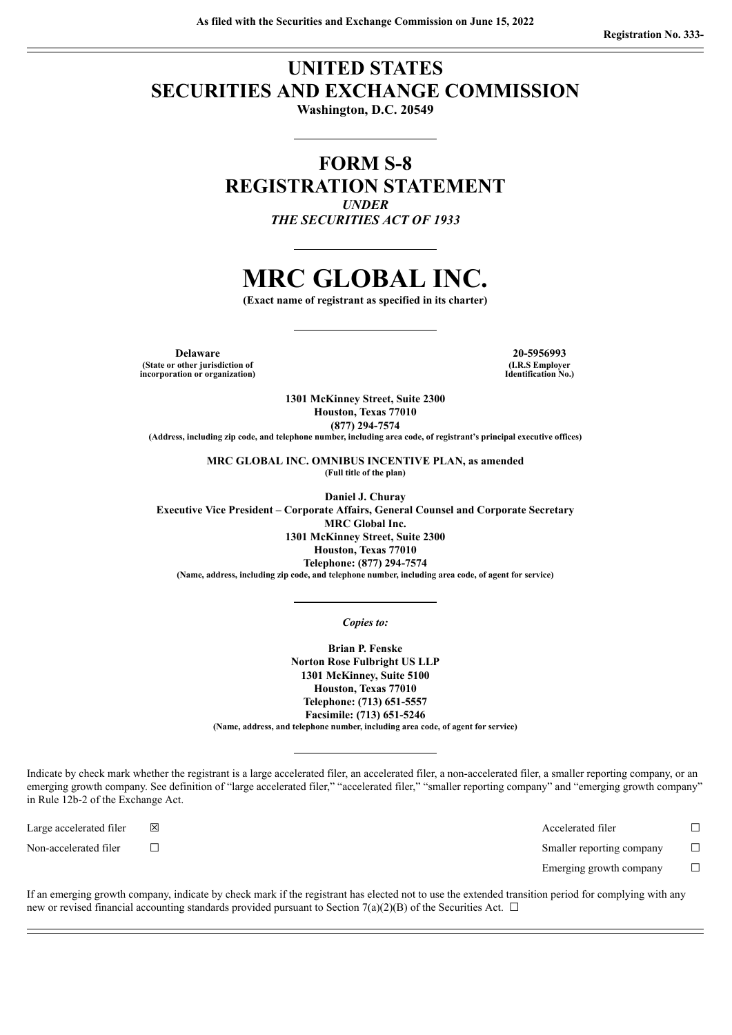## **UNITED STATES SECURITIES AND EXCHANGE COMMISSION**

**Washington, D.C. 20549**

### **FORM S-8 REGISTRATION STATEMENT** *UNDER*

*THE SECURITIES ACT OF 1933*

## **MRC GLOBAL INC.**

**(Exact name of registrant as specified in its charter)**

**Delaware 20-5956993 (State or other jurisdiction of incorporation or organization)**

**(I.R.S Employer Identification No.)**

**1301 McKinney Street, Suite 2300 Houston, Texas 77010 (877) 294-7574**

**(Address, including zip code, and telephone number, including area code, of registrant's principal executive offices)**

**MRC GLOBAL INC. OMNIBUS INCENTIVE PLAN, as amended (Full title of the plan)**

**Daniel J. Churay Executive Vice President – Corporate Affairs, General Counsel and Corporate Secretary MRC Global Inc. 1301 McKinney Street, Suite 2300 Houston, Texas 77010 Telephone: (877) 294-7574 (Name, address, including zip code, and telephone number, including area code, of agent for service)**

#### *Copies to:*

**Brian P. Fenske Norton Rose Fulbright US LLP 1301 McKinney, Suite 5100 Houston, Texas 77010 Telephone: (713) 651-5557 Facsimile: (713) 651-5246 (Name, address, and telephone number, including area code, of agent for service)**

Indicate by check mark whether the registrant is a large accelerated filer, an accelerated filer, a non-accelerated filer, a smaller reporting company, or an emerging growth company. See definition of "large accelerated filer," "accelerated filer," "smaller reporting company" and "emerging growth company" in Rule 12b-2 of the Exchange Act.

| Large accelerated filer | 区 | Accelerated filer         |  |
|-------------------------|---|---------------------------|--|
| Non-accelerated filer   |   | Smaller reporting company |  |
|                         |   | Emerging growth company   |  |

If an emerging growth company, indicate by check mark if the registrant has elected not to use the extended transition period for complying with any new or revised financial accounting standards provided pursuant to Section 7(a)(2)(B) of the Securities Act.  $\Box$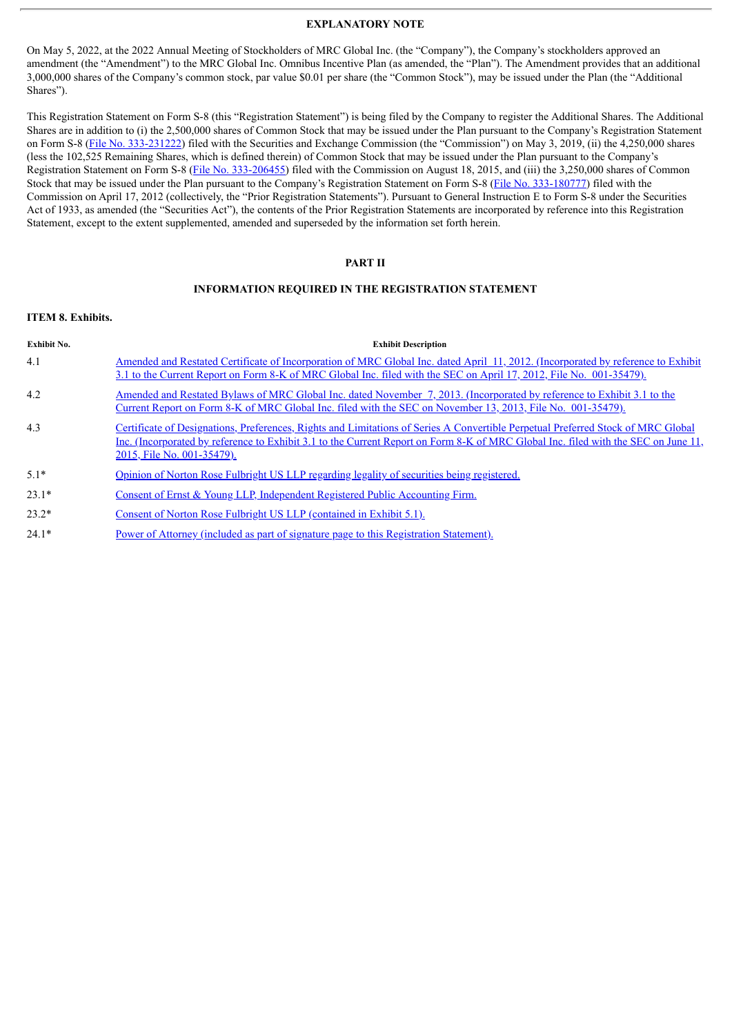#### **EXPLANATORY NOTE**

On May 5, 2022, at the 2022 Annual Meeting of Stockholders of MRC Global Inc. (the "Company"), the Company's stockholders approved an amendment (the "Amendment") to the MRC Global Inc. Omnibus Incentive Plan (as amended, the "Plan"). The Amendment provides that an additional 3,000,000 shares of the Company's common stock, par value \$0.01 per share (the "Common Stock"), may be issued under the Plan (the "Additional Shares").

This Registration Statement on Form S-8 (this "Registration Statement") is being filed by the Company to register the Additional Shares. The Additional Shares are in addition to (i) the 2,500,000 shares of Common Stock that may be issued under the Plan pursuant to the Company's Registration Statement on Form S-8 (File No. [333-231222\)](http://www.sec.gov/Archives/edgar/data/1439095/000119312519137076/d743107ds8.htm) filed with the Securities and Exchange Commission (the "Commission") on May 3, 2019, (ii) the 4,250,000 shares (less the 102,525 Remaining Shares, which is defined therein) of Common Stock that may be issued under the Plan pursuant to the Company's Registration Statement on Form S-8 (File No. [333-206455](http://www.sec.gov/Archives/edgar/data/1439095/000119312515294644/d66873ds8.htm)) filed with the Commission on August 18, 2015, and (iii) the 3,250,000 shares of Common Stock that may be issued under the Plan pursuant to the Company's Registration Statement on Form S-8 (File No. [333-180777](http://www.sec.gov/Archives/edgar/data/1439095/000119312512166473/d335267ds8.htm)) filed with the Commission on April 17, 2012 (collectively, the "Prior Registration Statements"). Pursuant to General Instruction E to Form S-8 under the Securities Act of 1933, as amended (the "Securities Act"), the contents of the Prior Registration Statements are incorporated by reference into this Registration Statement, except to the extent supplemented, amended and superseded by the information set forth herein.

#### **PART II**

#### **INFORMATION REQUIRED IN THE REGISTRATION STATEMENT**

#### **ITEM 8. Exhibits.**

| <b>Exhibit No.</b> | <b>Exhibit Description</b>                                                                                                                                                                                                                                                                           |
|--------------------|------------------------------------------------------------------------------------------------------------------------------------------------------------------------------------------------------------------------------------------------------------------------------------------------------|
| 4.1                | Amended and Restated Certificate of Incorporation of MRC Global Inc. dated April 11, 2012. (Incorporated by reference to Exhibit<br>3.1 to the Current Report on Form 8-K of MRC Global Inc. filed with the SEC on April 17, 2012, File No. 001-35479).                                              |
| 4.2                | Amended and Restated Bylaws of MRC Global Inc. dated November 7, 2013. (Incorporated by reference to Exhibit 3.1 to the<br>Current Report on Form 8-K of MRC Global Inc. filed with the SEC on November 13, 2013, File No. 001-35479).                                                               |
| 4.3                | Certificate of Designations, Preferences, Rights and Limitations of Series A Convertible Perpetual Preferred Stock of MRC Global<br>Inc. (Incorporated by reference to Exhibit 3.1 to the Current Report on Form 8-K of MRC Global Inc. filed with the SEC on June 11,<br>2015, File No. 001-35479). |
| $5.1*$             | Opinion of Norton Rose Fulbright US LLP regarding legality of securities being registered.                                                                                                                                                                                                           |
| $23.1*$            | Consent of Ernst & Young LLP, Independent Registered Public Accounting Firm.                                                                                                                                                                                                                         |
| $23.2*$            | Consent of Norton Rose Fulbright US LLP (contained in Exhibit 5.1).                                                                                                                                                                                                                                  |
| $24.1*$            | Power of Attorney (included as part of signature page to this Registration Statement).                                                                                                                                                                                                               |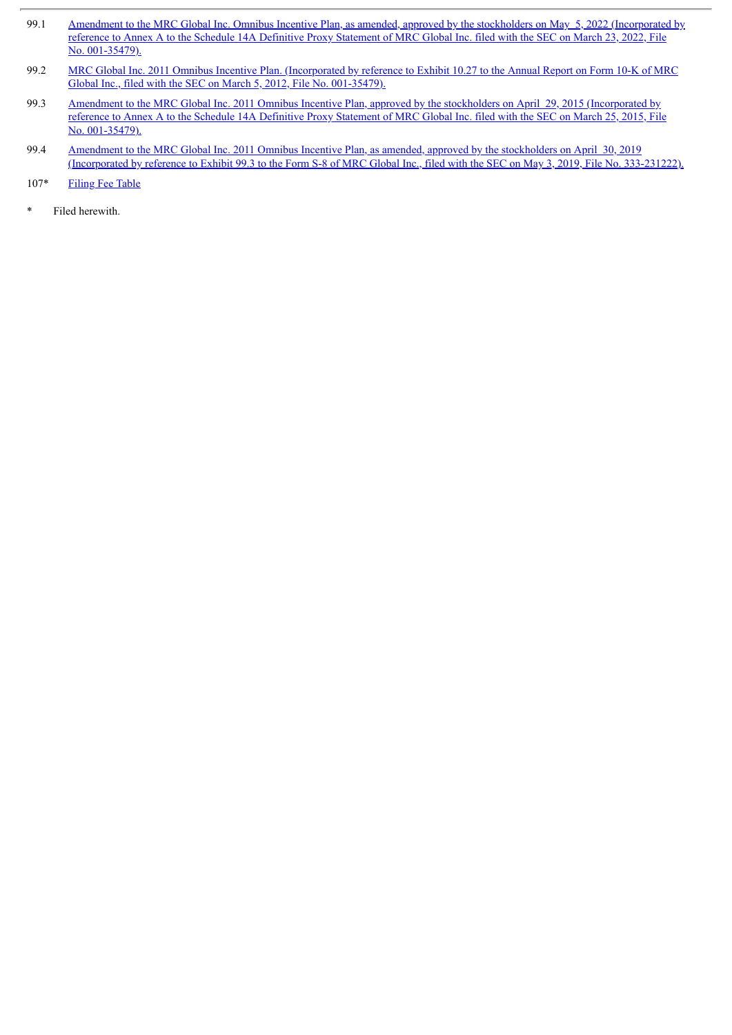- 99.1 Amendment to the MRC Global Inc. Omnibus Incentive Plan, as amended, approved by the stockholders on May 5, 2022 [\(Incorporated](http://www.sec.gov/Archives/edgar/data/1439095/000119312522082052/d123305ddef14a.htm#toc123305_61) by reference to Annex A to the Schedule 14A Definitive Proxy Statement of MRC Global Inc. filed with the SEC on March 23, 2022, File No. 001-35479).
- 99.2 MRC Global Inc. 2011 Omnibus Incentive Plan. [\(Incorporated](http://www.sec.gov/Archives/edgar/data/1439095/000119312512096454/d279282dex1027.htm) by reference to Exhibit 10.27 to the Annual Report on Form 10-K of MRC Global Inc., filed with the SEC on March 5, 2012, File No. 001-35479).
- 99.3 Amendment to the MRC Global Inc. 2011 Omnibus Incentive Plan, approved by the stockholders on April 29, 2015 [\(Incorporated](http://www.sec.gov/Archives/edgar/data/1439095/000119312515104159/d886873ddef14a.htm) by reference to Annex A to the Schedule 14A Definitive Proxy Statement of MRC Global Inc. filed with the SEC on March 25, 2015, File No. 001-35479).
- 99.4 Amendment to the MRC Global Inc. 2011 Omnibus Incentive Plan, as amended, approved by the stockholders on April 30, 2019 [\(Incorporated](http://www.sec.gov/Archives/edgar/data/1439095/000119312519137076/d743107dex993.htm) by reference to Exhibit 99.3 to the Form S-8 of MRC Global Inc., filed with the SEC on May 3, 2019, File No. 333-231222).
- 107\* [Filing](#page-8-0) Fee Table
- Filed herewith.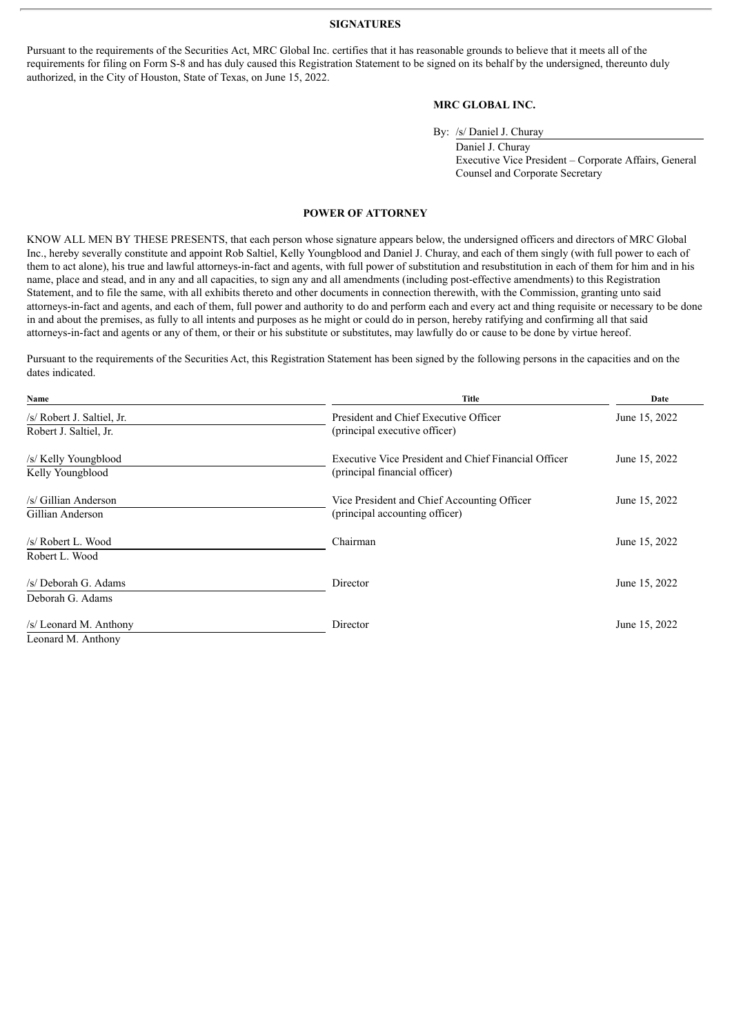#### **SIGNATURES**

<span id="page-3-0"></span>Pursuant to the requirements of the Securities Act, MRC Global Inc. certifies that it has reasonable grounds to believe that it meets all of the requirements for filing on Form S-8 and has duly caused this Registration Statement to be signed on its behalf by the undersigned, thereunto duly authorized, in the City of Houston, State of Texas, on June 15, 2022.

#### **MRC GLOBAL INC.**

By: /s/ Daniel J. Churay

Daniel J. Churay Executive Vice President – Corporate Affairs, General Counsel and Corporate Secretary

#### **POWER OF ATTORNEY**

KNOW ALL MEN BY THESE PRESENTS, that each person whose signature appears below, the undersigned officers and directors of MRC Global Inc., hereby severally constitute and appoint Rob Saltiel, Kelly Youngblood and Daniel J. Churay, and each of them singly (with full power to each of them to act alone), his true and lawful attorneys-in-fact and agents, with full power of substitution and resubstitution in each of them for him and in his name, place and stead, and in any and all capacities, to sign any and all amendments (including post-effective amendments) to this Registration Statement, and to file the same, with all exhibits thereto and other documents in connection therewith, with the Commission, granting unto said attorneys-in-fact and agents, and each of them, full power and authority to do and perform each and every act and thing requisite or necessary to be done in and about the premises, as fully to all intents and purposes as he might or could do in person, hereby ratifying and confirming all that said attorneys-in-fact and agents or any of them, or their or his substitute or substitutes, may lawfully do or cause to be done by virtue hereof.

Pursuant to the requirements of the Securities Act, this Registration Statement has been signed by the following persons in the capacities and on the dates indicated.

| Name                       | <b>Title</b>                                         | Date          |  |
|----------------------------|------------------------------------------------------|---------------|--|
| /s/ Robert J. Saltiel, Jr. | President and Chief Executive Officer                | June 15, 2022 |  |
| Robert J. Saltiel, Jr.     | (principal executive officer)                        |               |  |
| /s/ Kelly Youngblood       | Executive Vice President and Chief Financial Officer | June 15, 2022 |  |
| Kelly Youngblood           | (principal financial officer)                        |               |  |
| /s/ Gillian Anderson       | Vice President and Chief Accounting Officer          | June 15, 2022 |  |
| Gillian Anderson           | (principal accounting officer)                       |               |  |
| /s/ Robert L. Wood         | Chairman                                             | June 15, 2022 |  |
| Robert L. Wood             |                                                      |               |  |
| /s/ Deborah G. Adams       | Director                                             | June 15, 2022 |  |
| Deborah G. Adams           |                                                      |               |  |
| /s/ Leonard M. Anthony     | Director                                             | June 15, 2022 |  |
| Leonard M. Anthony         |                                                      |               |  |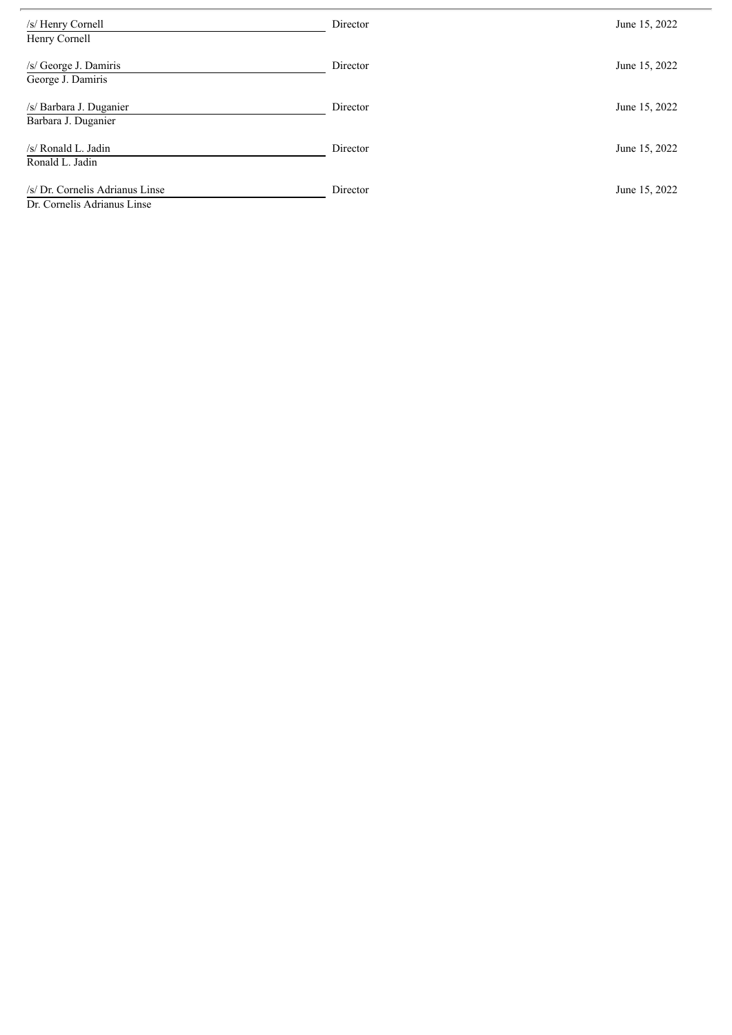| /s/ Henry Cornell                                              | Director | June 15, 2022 |
|----------------------------------------------------------------|----------|---------------|
| Henry Cornell                                                  |          |               |
| /s/ George J. Damiris                                          | Director | June 15, 2022 |
| George J. Damiris                                              |          |               |
| /s/ Barbara J. Duganier                                        | Director | June 15, 2022 |
| Barbara J. Duganier                                            |          |               |
| /s/ Ronald L. Jadin                                            | Director | June 15, 2022 |
| Ronald L. Jadin                                                |          |               |
| /s/ Dr. Cornelis Adrianus Linse<br>Dr. Cornelis Adrianus Linse | Director | June 15, 2022 |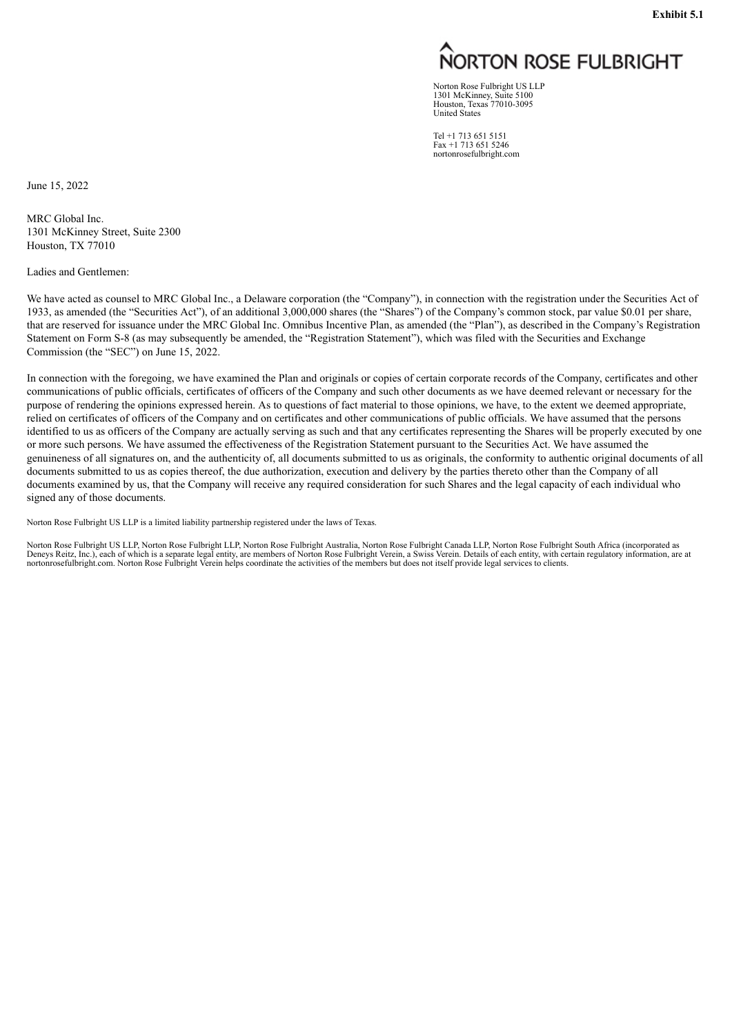# NORTON ROSE FULBRIGHT

Norton Rose Fulbright US LLP 1301 McKinney, Suite 5100 Houston, Texas 77010-3095 United States

Tel +1 713 651 5151 Fax +1 713 651 5246 nortonrosefulbright.com

<span id="page-5-0"></span>June 15, 2022

MRC Global Inc. 1301 McKinney Street, Suite 2300 Houston, TX 77010

Ladies and Gentlemen:

We have acted as counsel to MRC Global Inc., a Delaware corporation (the "Company"), in connection with the registration under the Securities Act of 1933, as amended (the "Securities Act"), of an additional 3,000,000 shares (the "Shares") of the Company's common stock, par value \$0.01 per share, that are reserved for issuance under the MRC Global Inc. Omnibus Incentive Plan, as amended (the "Plan"), as described in the Company's Registration Statement on Form S-8 (as may subsequently be amended, the "Registration Statement"), which was filed with the Securities and Exchange Commission (the "SEC") on June 15, 2022.

In connection with the foregoing, we have examined the Plan and originals or copies of certain corporate records of the Company, certificates and other communications of public officials, certificates of officers of the Company and such other documents as we have deemed relevant or necessary for the purpose of rendering the opinions expressed herein. As to questions of fact material to those opinions, we have, to the extent we deemed appropriate, relied on certificates of officers of the Company and on certificates and other communications of public officials. We have assumed that the persons identified to us as officers of the Company are actually serving as such and that any certificates representing the Shares will be properly executed by one or more such persons. We have assumed the effectiveness of the Registration Statement pursuant to the Securities Act. We have assumed the genuineness of all signatures on, and the authenticity of, all documents submitted to us as originals, the conformity to authentic original documents of all documents submitted to us as copies thereof, the due authorization, execution and delivery by the parties thereto other than the Company of all documents examined by us, that the Company will receive any required consideration for such Shares and the legal capacity of each individual who signed any of those documents.

Norton Rose Fulbright US LLP is a limited liability partnership registered under the laws of Texas.

Norton Rose Fulbright US LLP, Norton Rose Fulbright LLP, Norton Rose Fulbright Australia, Norton Rose Fulbright Canada LLP, Norton Rose Fulbright South Africa (incorporated as Deneys Reitz, Inc.), each of which is a separate legal entity, are members of Norton Rose Fulbright Verein, a Swiss Verein. Details of each entity, with certain regulatory information, are at<br>nortonrosefulbright.com. Norto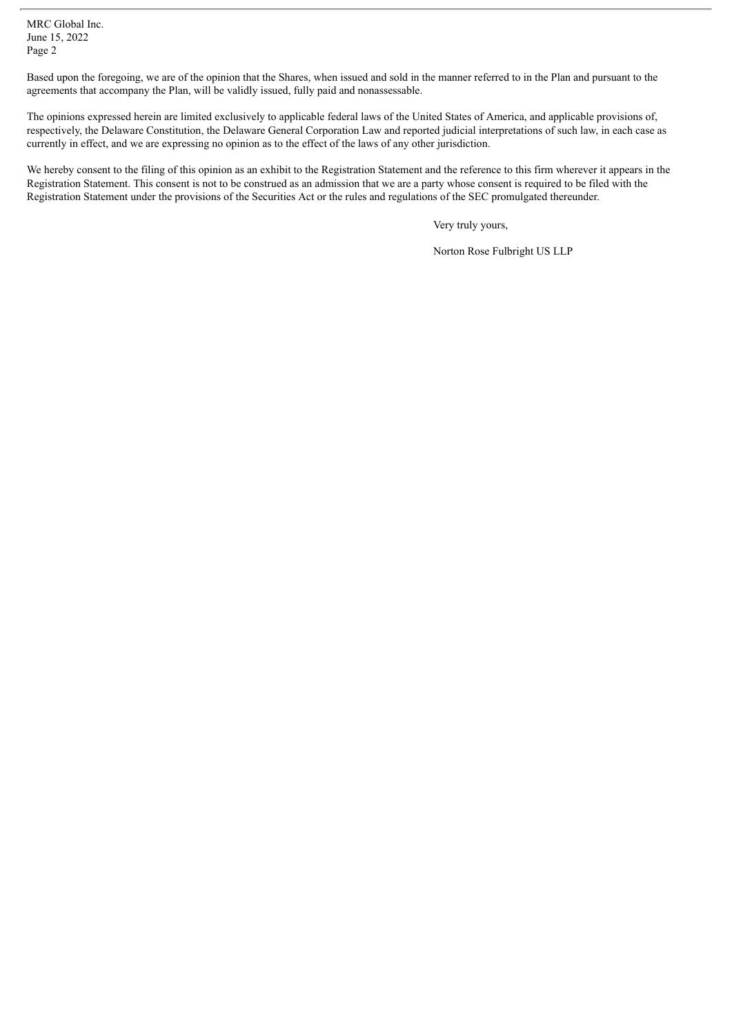MRC Global Inc. June 15, 2022 Page 2

Based upon the foregoing, we are of the opinion that the Shares, when issued and sold in the manner referred to in the Plan and pursuant to the agreements that accompany the Plan, will be validly issued, fully paid and nonassessable.

The opinions expressed herein are limited exclusively to applicable federal laws of the United States of America, and applicable provisions of, respectively, the Delaware Constitution, the Delaware General Corporation Law and reported judicial interpretations of such law, in each case as currently in effect, and we are expressing no opinion as to the effect of the laws of any other jurisdiction.

We hereby consent to the filing of this opinion as an exhibit to the Registration Statement and the reference to this firm wherever it appears in the Registration Statement. This consent is not to be construed as an admission that we are a party whose consent is required to be filed with the Registration Statement under the provisions of the Securities Act or the rules and regulations of the SEC promulgated thereunder.

Very truly yours,

Norton Rose Fulbright US LLP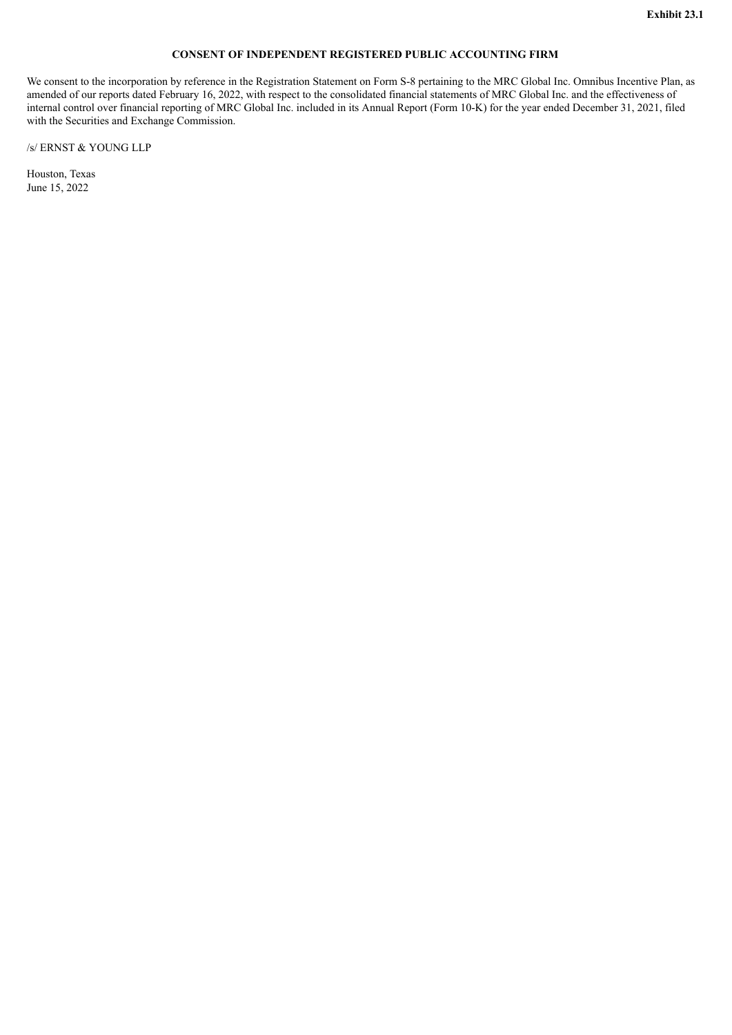#### **CONSENT OF INDEPENDENT REGISTERED PUBLIC ACCOUNTING FIRM**

<span id="page-7-0"></span>We consent to the incorporation by reference in the Registration Statement on Form S-8 pertaining to the MRC Global Inc. Omnibus Incentive Plan, as amended of our reports dated February 16, 2022, with respect to the consolidated financial statements of MRC Global Inc. and the effectiveness of internal control over financial reporting of MRC Global Inc. included in its Annual Report (Form 10-K) for the year ended December 31, 2021, filed with the Securities and Exchange Commission.

/s/ ERNST & YOUNG LLP

Houston, Texas June 15, 2022